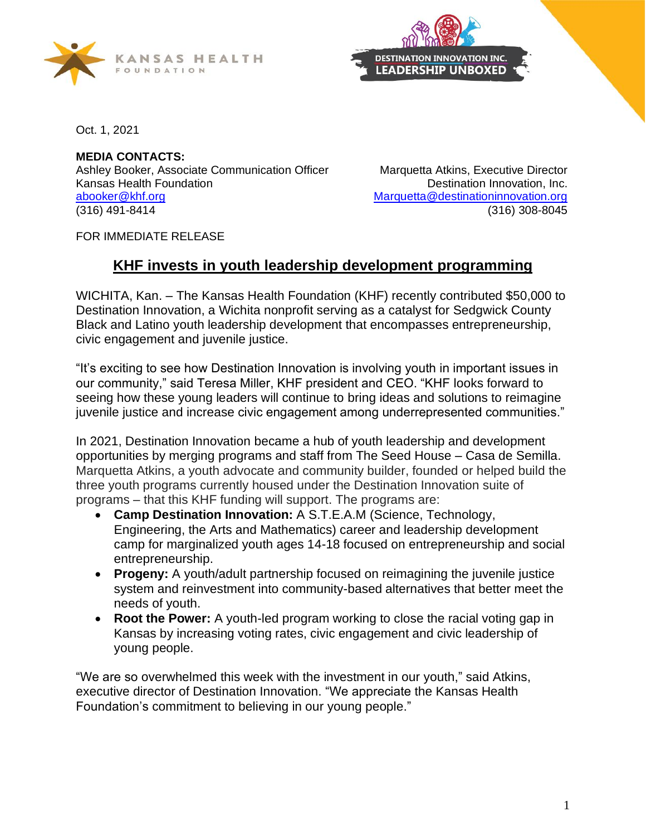



Oct. 1, 2021

**MEDIA CONTACTS:**  Ashley Booker, Associate Communication Officer Marquetta Atkins, Executive Director Kansas Health Foundation **Network 1980** Control Destination Innovation, Inc. [abooker@khf.org](mailto:abooker@khf.org) [Marquetta@destinationinnovation.org](mailto:Marquetta@destinationinnovation.org) (316) 491-8414 (316) 308-8045

FOR IMMEDIATE RELEASE

## **KHF invests in youth leadership development programming**

WICHITA, Kan. – The Kansas Health Foundation (KHF) recently contributed \$50,000 to Destination Innovation, a Wichita nonprofit serving as a catalyst for Sedgwick County Black and Latino youth leadership development that encompasses entrepreneurship, civic engagement and juvenile justice.

"It's exciting to see how Destination Innovation is involving youth in important issues in our community," said Teresa Miller, KHF president and CEO. "KHF looks forward to seeing how these young leaders will continue to bring ideas and solutions to reimagine juvenile justice and increase civic engagement among underrepresented communities."

In 2021, Destination Innovation became a hub of youth leadership and development opportunities by merging programs and staff from The Seed House – Casa de Semilla. Marquetta Atkins, a youth advocate and community builder, founded or helped build the three youth programs currently housed under the Destination Innovation suite of programs – that this KHF funding will support. The programs are:

- **Camp Destination Innovation:** A S.T.E.A.M (Science, Technology, Engineering, the Arts and Mathematics) career and leadership development camp for marginalized youth ages 14-18 focused on entrepreneurship and social entrepreneurship.
- **Progeny:** A youth/adult partnership focused on reimagining the juvenile justice system and reinvestment into community-based alternatives that better meet the needs of youth.
- **Root the Power:** A youth-led program working to close the racial voting gap in Kansas by increasing voting rates, civic engagement and civic leadership of young people.

"We are so overwhelmed this week with the investment in our youth," said Atkins, executive director of Destination Innovation. "We appreciate the Kansas Health Foundation's commitment to believing in our young people."